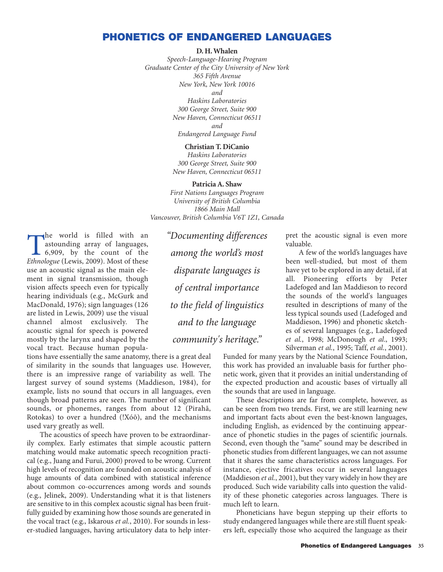## **PHONETICS OF ENDANGERED LANGUAGES**

**D. H. Whalen**

*Speech-Language-Hearing Program Graduate Center of the City University of New York 365 Fifth Avenue New York, New York 10016 and Haskins Laboratories 300 George Street, Suite 900 New Haven, Connecticut 06511 and Endangered Language Fund*

**Christian T. DiCanio** *Haskins Laboratories 300 George Street, Suite 900 New Haven, Connecticut 06511*

**Patricia A. Shaw** *First Nations Languages Program University of British Columbia 1866 Main Mall*

*Vancouver, British Columbia V6T 1Z1, Canada*

the world is filled with an astounding array of languages,<br>6,909, by the count of the<br>Fthnologue (Lewis 2009) Most of these astounding array of languages, 6,909, by the count of the *Ethnologue* (Lewis, 2009). Most of these use an acoustic signal as the main element in signal transmission, though vision affects speech even for typically hearing individuals (e.g., McGurk and MacDonald, 1976); sign languages (126 are listed in Lewis, 2009) use the visual channel almost exclusively. The acoustic signal for speech is powered mostly by the larynx and shaped by the vocal tract. Because human popula-

tions have essentially the same anatomy, there is a great deal of similarity in the sounds that languages use. However, there is an impressive range of variability as well. The largest survey of sound systems (Maddieson, 1984), for example, lists no sound that occurs in all languages, even though broad patterns are seen. The number of significant sounds, or phonemes, ranges from about 12 (Pirahã, Rotokas) to over a hundred (!Xóõ), and the mechanisms used vary greatly as well.

The acoustics of speech have proven to be extraordinarily complex. Early estimates that simple acoustic pattern matching would make automatic speech recognition practical (e.g., Juang and Furui, 2000) proved to be wrong. Current high levels of recognition are founded on acoustic analysis of huge amounts of data combined with statistical inference about common co-occurrences among words and sounds (e.g., Jelinek, 2009). Understanding what it is that listeners are sensitive to in this complex acoustic signal has been fruitfully guided by examining how those sounds are generated in the vocal tract (e.g., Iskarous *et al.*, 2010). For sounds in lesser-studied languages, having articulatory data to help inter-

*"Documenting differences among the world's most disparate languages is of central importance to the field of linguistics and to the language community's heritage."*

pret the acoustic signal is even more valuable.

A few of the world's languages have been well-studied, but most of them have yet to be explored in any detail, if at all. Pioneering efforts by Peter Ladefoged and Ian Maddieson to record the sounds of the world's languages resulted in descriptions of many of the less typical sounds used (Ladefoged and Maddieson, 1996) and phonetic sketches of several languages (e.g., Ladefoged *et al.*, 1998; McDonough *et al*., 1993; Silverman *et al.*, 1995; Taff, *et al.*, 2001).

Funded for many years by the National Science Foundation, this work has provided an invaluable basis for further phonetic work, given that it provides an initial understanding of the expected production and acoustic bases of virtually all the sounds that are used in language.

These descriptions are far from complete, however, as can be seen from two trends. First, we are still learning new and important facts about even the best-known languages, including English, as evidenced by the continuing appearance of phonetic studies in the pages of scientific journals. Second, even though the "same" sound may be described in phonetic studies from different languages, we can not assume that it shares the same characteristics across languages. For instance, ejective fricatives occur in several languages (Maddieson *et al.*, 2001), but they vary widely in how they are produced. Such wide variability calls into question the validity of these phonetic categories across languages. There is much left to learn.

Phoneticians have begun stepping up their efforts to study endangered languages while there are still fluent speakers left, especially those who acquired the language as their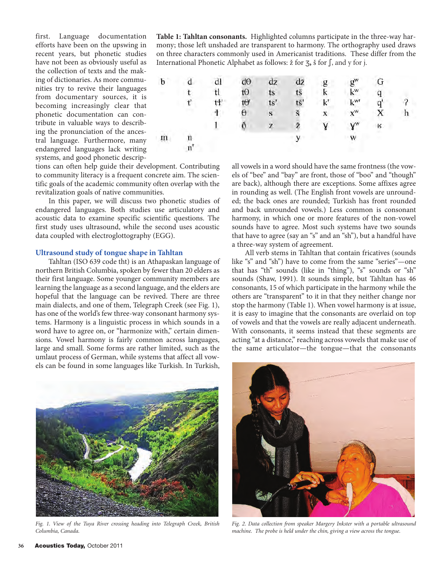first. Language documentation efforts have been on the upswing in recent years, but phonetic studies have not been as obviously useful as the collection of texts and the making of dictionaries. As more communities try to revive their languages from documentary sources, it is becoming increasingly clear that phonetic documentation can contribute in valuable ways to describing the pronunciation of the ancestral language. Furthermore, many endangered languages lack writing systems, and good phonetic descrip**Table 1: Tahltan consonants.** Highlighted columns participate in the three-way harmony; those left unshaded are transparent to harmony. The orthography used draws on three characters commonly used in Americanist traditions. These differ from the International Phonetic Alphabet as follows: ž for ʒ**,** š for ʃ, and y for j.

| $\mathbf b$ | d  | dl              | dΘ         | dz      | dž  | g              | $g^w$                     | G              |   |
|-------------|----|-----------------|------------|---------|-----|----------------|---------------------------|----------------|---|
|             | t  | tl              | tΘ         | ts      | tš  | k              | $\mathbf{k}^{\mathrm{w}}$ | $\overline{q}$ |   |
|             | ť  | t <sup>4'</sup> | $t\Theta'$ | $ts'$   | tš' | $k^{\prime}$   | k <sup>w</sup>            | q'             |   |
|             |    | Ť               | θ          | $\bf S$ | š   | $\mathbf X$    | $\mathbf{X}^{\text{W}}$   | X              | h |
|             |    |                 | ð          | Ż       | Ž   | $\overline{Y}$ | <b>Y</b> <sup>w</sup>     | K              |   |
| m           | n  |                 |            |         |     |                | W                         |                |   |
|             | n' |                 |            |         |     |                |                           |                |   |

tions can often help guide their development. Contributing to community literacy is a frequent concrete aim. The scientific goals of the academic community often overlap with the revitalization goals of native communities.

In this paper, we will discuss two phonetic studies of endangered languages. Both studies use articulatory and acoustic data to examine specific scientific questions. The first study uses ultrasound, while the second uses acoustic data coupled with electroglottography (EGG).

#### **Ultrasound study of tongue shape in Tahltan**

Tahltan (ISO 639 code tht) is an Athapaskan language of northern British Columbia, spoken by fewer than 20 elders as their first language. Some younger community members are learning the language as a second language, and the elders are hopeful that the language can be revived. There are three main dialects, and one of them, Telegraph Creek (see Fig. 1), has one of the world's few three-way consonant harmony systems. Harmony is a linguistic process in which sounds in a word have to agree on, or "harmonize with," certain dimensions. Vowel harmony is fairly common across languages, large and small. Some forms are rather limited, such as the umlaut process of German, while systems that affect all vowels can be found in some languages like Turkish. In Turkish,

all vowels in a word should have the same frontness (the vowels of "bee" and "bay" are front, those of "boo" and "though" are back), although there are exceptions. Some affixes agree in rounding as well. (The English front vowels are unrounded; the back ones are rounded; Turkish has front rounded and back unrounded vowels.) Less common is consonant harmony, in which one or more features of the non-vowel sounds have to agree. Most such systems have two sounds that have to agree (say an "s" and an "sh"), but a handful have a three-way system of agreement.

All verb stems in Tahltan that contain fricatives (sounds like "s" and "sh") have to come from the same "series"—one that has "th" sounds (like in "thing"), "s" sounds or "sh" sounds (Shaw, 1991). It sounds simple, but Tahltan has 46 consonants, 15 of which participate in the harmony while the others are "transparent" to it in that they neither change nor stop the harmony (Table 1). When vowel harmony is at issue, it is easy to imagine that the consonants are overlaid on top of vowels and that the vowels are really adjacent underneath. With consonants, it seems instead that these segments are acting "at a distance," reaching across vowels that make use of the same articulator—the tongue—that the consonants



*Fig. 1. View of the Tuya River crossing heading into Telegraph Creek, British Columbia, Canada.*



*Fig. 2. Data collection from speaker Margery Inkster with a portable ultrasound machine. The probe is held under the chin, giving a view across the tongue.*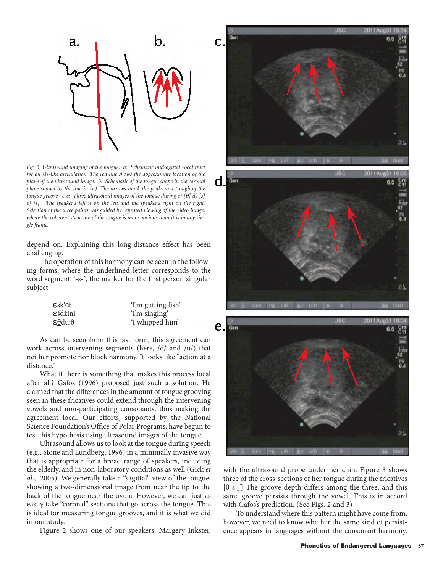

*Fig. 3. Ultrasound imaging of the tongue. a: Schematic midsagittal vocal tract for an [š]-like articulation. The red line shows the approximate location of the plane of the ultrasound image. b: Schematic of the tongue shape in the coronal plane shown by the line in (a). The arrows mark the peaks and trough of the tongue groove. c-e: Three ultrasound images of the tongue during c) [*θ*] d) [s] e) [š]. The speaker's left is on the left and the speaker's right on the right. Selection of the three points was guided by repeated viewing of the video image, where the coherent structure of the tongue is more obvious than it is in any single frame.*

depend on. Explaining this long-distance effect has been challenging.

The operation of this harmony can be seen in the following forms, where the underlined letter corresponds to the word segment "-s-", the marker for the first person singular subject:

| $\boldsymbol{\mathsf{c}}$ sk'a: | 'I'm gutting fish' |
|---------------------------------|--------------------|
| εšdžini                         | 'I'm singing'      |
| $\epsilon$ θdu:θ                | 'I whipped him'    |

As can be seen from this last form, this agreement can work across intervening segments (here, /d/ and /u/) that neither promote nor block harmony. It looks like "action at a distance."

What if there is something that makes this process local after all? Gafos (1996) proposed just such a solution. He claimed that the differences in the amount of tongue grooving seen in these fricatives could extend through the intervening vowels and non-participating consonants, thus making the agreement local. Our efforts, supported by the National Science Foundation's Office of Polar Programs, have begun to test this hypothesis using ultrasound images of the tongue.

Ultrasound allows us to look at the tongue during speech (e.g., Stone and Lundberg, 1996) in a minimally invasive way that is appropriate for a broad range of speakers, including the elderly, and in non-laboratory conditions as well (Gick *et al.*, 2005). We generally take a "sagittal" view of the tongue, showing a two-dimensional image from near the tip to the back of the tongue near the uvula. However, we can just as easily take "coronal" sections that go across the tongue. This is ideal for measuring tongue grooves, and it is what we did in our study.

Figure 2 shows one of our speakers, Margery Inkster,



with the ultrasound probe under her chin. Figure 3 shows three of the cross-sections of her tongue during the fricatives  $[\theta \simeq \iint$  The groove depth differs among the three, and this same groove persists through the vowel. This is in accord with Gafos's prediction. (See Figs. 2 and 3)

To understand where this pattern might have come from, however, we need to know whether the same kind of persistence appears in languages without the consonant harmony.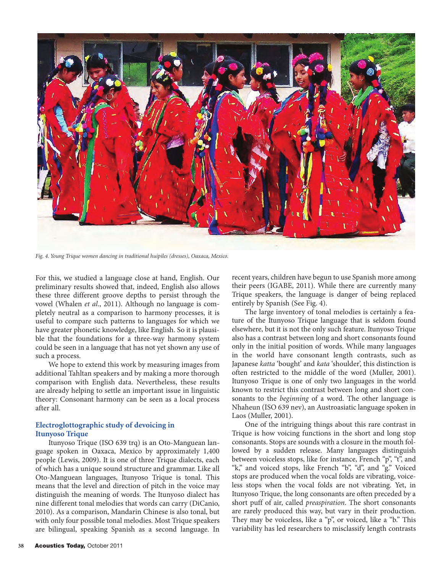

*Fig. 4. Young Trique women dancing in traditional huipiles (dresses), Oaxaca, Mexico.*

For this, we studied a language close at hand, English. Our preliminary results showed that, indeed, English also allows these three different groove depths to persist through the vowel (Whalen *et al*., 2011). Although no language is completely neutral as a comparison to harmony processes, it is useful to compare such patterns to languages for which we have greater phonetic knowledge, like English. So it is plausible that the foundations for a three-way harmony system could be seen in a language that has not yet shown any use of such a process.

We hope to extend this work by measuring images from additional Tahltan speakers and by making a more thorough comparison with English data. Nevertheless, these results are already helping to settle an important issue in linguistic theory: Consonant harmony can be seen as a local process after all.

### **Electroglottographic study of devoicing in Itunyoso Trique**

Itunyoso Trique (ISO 639 trq) is an Oto-Manguean language spoken in Oaxaca, Mexico by approximately 1,400 people (Lewis, 2009). It is one of three Trique dialects, each of which has a unique sound structure and grammar. Like all Oto-Manguean languages, Itunyoso Trique is tonal. This means that the level and direction of pitch in the voice may distinguish the meaning of words. The Itunyoso dialect has nine different tonal melodies that words can carry (DiCanio, 2010). As a comparison, Mandarin Chinese is also tonal, but with only four possible tonal melodies. Most Trique speakers are bilingual, speaking Spanish as a second language. In

recent years, children have begun to use Spanish more among their peers (IGABE, 2011). While there are currently many Trique speakers, the language is danger of being replaced entirely by Spanish (See Fig. 4).

The large inventory of tonal melodies is certainly a feature of the Itunyoso Trique language that is seldom found elsewhere, but it is not the only such feature. Itunyoso Trique also has a contrast between long and short consonants found only in the initial position of words. While many languages in the world have consonant length contrasts, such as Japanese *katta* 'bought' and *kata* 'shoulder', this distinction is often restricted to the middle of the word (Muller, 2001). Itunyoso Trique is one of only two languages in the world known to restrict this contrast between long and short consonants to the *beginning* of a word. The other language is Nhaheun (ISO 639 nev), an Austroasiatic language spoken in Laos (Muller, 2001).

One of the intriguing things about this rare contrast in Trique is how voicing functions in the short and long stop consonants. Stops are sounds with a closure in the mouth followed by a sudden release. Many languages distinguish between voiceless stops, like for instance, French "p", "t", and "k," and voiced stops, like French "b", "d", and "g." Voiced stops are produced when the vocal folds are vibrating, voiceless stops when the vocal folds are not vibrating. Yet, in Itunyoso Trique, the long consonants are often preceded by a short puff of air, called *preaspiration*. The short consonants are rarely produced this way, but vary in their production. They may be voiceless, like a "p", or voiced, like a "b." This variability has led researchers to misclassify length contrasts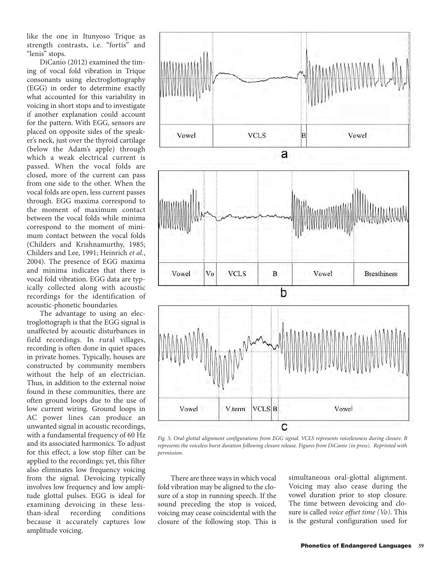like the one in Itunyoso Trique as strength contrasts, i.e. "fortis" and "lenis" stops.

DiCanio (2012) examined the timing of vocal fold vibration in Trique consonants using electroglottography (EGG) in order to determine exactly what accounted for this variability in voicing in short stops and to investigate if another explanation could account for the pattern. With EGG, sensors are placed on opposite sides of the speaker's neck, just over the thyroid cartilage (below the Adam's apple) through which a weak electrical current is passed. When the vocal folds are closed, more of the current can pass from one side to the other. When the vocal folds are open, less current passes through. EGG maxima correspond to the moment of maximum contact between the vocal folds while minima correspond to the moment of minimum contact between the vocal folds (Childers and Krishnamurthy, 1985; Childers and Lee, 1991; Heinrich *et al.*, 2004). The presence of EGG maxima and minima indicates that there is vocal fold vibration. EGG data are typically collected along with acoustic recordings for the identification of acoustic-phonetic boundaries.

The advantage to using an electroglottograph is that the EGG signal is unaffected by acoustic disturbances in field recordings. In rural villages, recording is often done in quiet spaces in private homes. Typically, houses are constructed by community members without the help of an electrician. Thus, in addition to the external noise found in these communities, there are often ground loops due to the use of low current wiring. Ground loops in AC power lines can produce an unwanted signal in acoustic recordings, with a fundamental frequency of 60 Hz and its associated harmonics. To adjust for this effect, a low stop filter can be applied to the recordings; yet, this filter also eliminates low frequency voicing from the signal. Devoicing typically involves low frequency and low amplitude glottal pulses. EGG is ideal for examining devoicing in these lessthan-ideal recording conditions because it accurately captures low amplitude voicing.



*Fig. 5. Oral-glottal alignment configurations from EGG signal. VCLS represents voicelessness during closure. B represents the voiceless burst duration following closure release. Figures from DiCanio (in press). Reprinted with permission.*

There are three ways in which vocal fold vibration may be aligned to the closure of a stop in running speech. If the sound preceding the stop is voiced, voicing may cease coincidental with the closure of the following stop. This is simultaneous oral-glottal alignment. Voicing may also cease during the vowel duration prior to stop closure. The time between devoicing and closure is called *voice offset time (Vo)*. This is the gestural configuration used for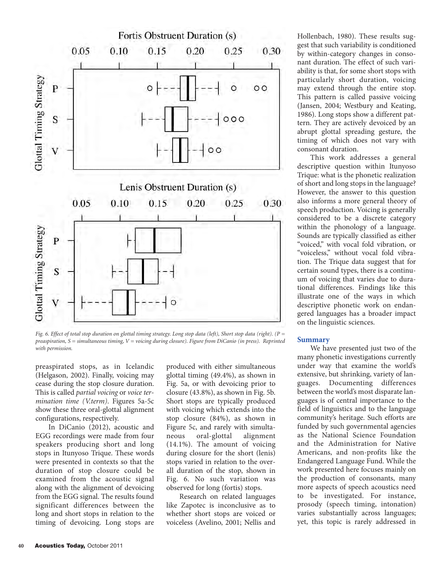

*Fig. 6. Effect of total stop duration on glottal timing strategy. Long stop data (left), Short stop data (right). (P = preaspiration, S = simultaneous timing, V = voicing during closure). Figure from DiCanio (in press). Reprinted with permission.*

preaspirated stops, as in Icelandic (Helgason, 2002). Finally, voicing may cease during the stop closure duration. This is called *partial voicing* or *voice termination time (V.term)*. Figures 5a-5c show these three oral-glottal alignment configurations, respectively.

In DiCanio (2012), acoustic and EGG recordings were made from four speakers producing short and long stops in Itunyoso Trique. These words were presented in contexts so that the duration of stop closure could be examined from the acoustic signal along with the alignment of devoicing from the EGG signal. The results found significant differences between the long and short stops in relation to the timing of devoicing. Long stops are

produced with either simultaneous glottal timing (49.4%), as shown in Fig. 5a, or with devoicing prior to closure (43.8%), as shown in Fig. 5b. Short stops are typically produced with voicing which extends into the stop closure (84%), as shown in Figure 5c, and rarely with simultaneous oral-glottal alignment (14.1%). The amount of voicing during closure for the short (lenis) stops varied in relation to the overall duration of the stop, shown in Fig. 6. No such variation was observed for long (fortis) stops.

Research on related languages like Zapotec is inconclusive as to whether short stops are voiced or voiceless (Avelino, 2001; Nellis and Hollenbach, 1980). These results suggest that such variability is conditioned by within-category changes in consonant duration. The effect of such variability is that, for some short stops with particularly short duration, voicing may extend through the entire stop. This pattern is called passive voicing (Jansen, 2004; Westbury and Keating, 1986). Long stops show a different pattern. They are actively devoiced by an abrupt glottal spreading gesture, the timing of which does not vary with consonant duration.

This work addresses a general descriptive question within Itunyoso Trique: what is the phonetic realization of short and long stops in the language? However, the answer to this question also informs a more general theory of speech production. Voicing is generally considered to be a discrete category within the phonology of a language. Sounds are typically classified as either "voiced," with vocal fold vibration, or "voiceless," without vocal fold vibration. The Trique data suggest that for certain sound types, there is a continuum of voicing that varies due to durational differences. Findings like this illustrate one of the ways in which descriptive phonetic work on endangered languages has a broader impact on the linguistic sciences.

#### **Summary**

We have presented just two of the many phonetic investigations currently under way that examine the world's extensive, but shrinking, variety of languages. Documenting differences between the world's most disparate languages is of central importance to the field of linguistics and to the language community's heritage. Such efforts are funded by such governmental agencies as the National Science Foundation and the Administration for Native Americans, and non-profits like the Endangered Language Fund. While the work presented here focuses mainly on the production of consonants, many more aspects of speech acoustics need to be investigated. For instance, prosody (speech timing, intonation) varies substantially across languages; yet, this topic is rarely addressed in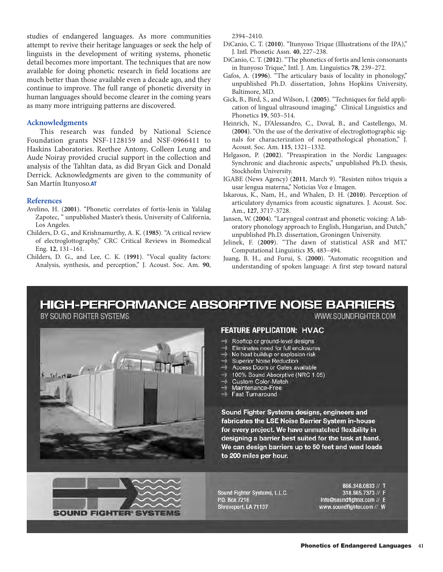studies of endangered languages. As more communities attempt to revive their heritage languages or seek the help of linguists in the development of writing systems, phonetic detail becomes more important. The techniques that are now available for doing phonetic research in field locations are much better than those available even a decade ago, and they continue to improve. The full range of phonetic diversity in human languages should become clearer in the coming years as many more intriguing patterns are discovered.

#### **Acknowledgments**

This research was funded by National Science Foundation grants NSF-1128159 and NSF-0966411 to Haskins Laboratories. Reethee Antony, Colleen Leung and Aude Noiray provided crucial support in the collection and analysis of the Tahltan data, as did Bryan Gick and Donald Derrick. Acknowledgments are given to the community of San Martín Itunyoso.**AT**

#### **References**

- Avelino, H. (**2001**). "Phonetic correlates of fortis-lenis in Yalálag Zapotec, " unpublished Master's thesis, University of California, Los Angeles.
- Childers, D. G., and Krishnamurthy, A. K. (**1985**). "A critical review of electroglottography," CRC Critical Reviews in Biomedical Eng. **12**, 131–161.
- Childers, D. G., and Lee, C. K. (**1991**). "Vocal quality factors: Analysis, synthesis, and perception," J. Acoust. Soc. Am. **90**,

2394–2410.

- DiCanio, C. T. (**2010**). "Itunyoso Trique (Illustrations of the IPA)," J. Intl. Phonetic Assn. **40**, 227–238.
- DiCanio, C. T. (**2012**). "The phonetics of fortis and lenis consonants in Itunyoso Trique," Intl. J. Am. Linguistics **78**, 239–272.
- Gafos, A. (**1996**). "The articulary basis of locality in phonology," unpublished Ph.D. dissertation, Johns Hopkins University, Baltimore, MD.
- Gick, B., Bird, S., and Wilson, I. (**2005**). "Techniques for field application of lingual ultrasound imaging," Clinical Linguistics and Phonetics **19**, 503–514.
- Heinrich, N., D'Alessandro, C., Doval, B., and Castellengo, M. (**2004**). "On the use of the derivative of electroglottographic signals for characterization of nonpathological phonation," J. Acoust. Soc. Am. **115**, 1321–1332.
- Helgason, P. (**2002**). "Preaspiration in the Nordic Languages: Synchronic and diachronic aspects," unpublished Ph.D. thesis, Stockholm University.
- IGABE (News Agency) (**2011**, March 9). "Resisten niños triquis a usar lengua materna," Noticias Voz e Imagen.
- Iskarous, K., Nam, H., and Whalen, D. H. (**2010**). Perception of articulatory dynamics from acoustic signatures. J. Acoust. Soc. Am., **127**, 3717-3728.
- Jansen, W. (**2004**). "Laryngeal contrast and phonetic voicing: A laboratory phonology approach to English, Hungarian, and Dutch," unpublished Ph.D. dissertation, Groningen University.
- Jelinek, F. (**2009**). "The dawn of statistical ASR and MT," Computational Linguistics **35**, 483–494.
- Juang, B. H., and Furui, S. (**2000**). "Automatic recognition and understanding of spoken language: A first step toward natural

# **HIGH-PERFORMANCE ABSORPTIVE NOISE BARRIERS**

BY SOUND FIGHTER SYSTEMS





#### **FEATURE APPLICATION: HVAC**

- Rooftop or ground-level designs
- Eliminates need for full enclosures
- No heat buildup or explosion risk
- Superior Noise Reduction
- Access Doors or Gates available
- 100% Sound Absorptive (NRC 1.05) Custom Color-Match
- Maintenance-Free
- **Fast Turnaround**
- Sound Fighter Systems designs, engineers and fabricates the LSE Noise Barrier System in-house for every project. We have unmatched flexibility in designing a barrier best suited for the task at hand. We can design barriers up to 50 feet and wind loads to 200 miles per hour.

Sound Fighter Systems, L.L.C. P.O. Box 7216 Shreveport, LA 71137

866.348.0833 // T 318.865.7373 // F info@soundfighter.com // E www.soundfighter.com // W

WWW.SOUNDFIGHTER.COM